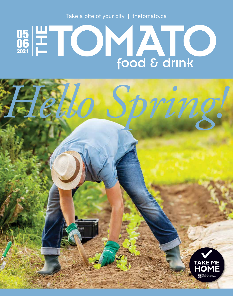Take a bite of your city | thetomato.ca

# 05 06 2021



*Hello Spring!*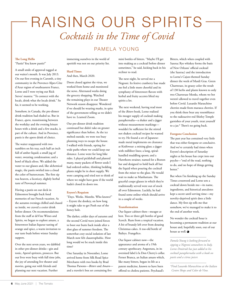# RAISING OUR SPIRITS *Cocktails in the Time of Covid*

## PAMELA YOUNG

## **The Long Hello**

"Pastis? You know pastis?"

A small smile of approval tugged at our waiter's mouth. It was July 2013. On our first evening in Caromb, a tiny community in the Provence-Alpes-Côte d'Azur region of southeastern France, Lorne and I were trying out Rick Steves' mantra: "To connect with the locals, drink what the locals drink." So far, it seemed to be working.

Somehow, in Canada, the pre-dinner drink tradition had eluded us. But in France, *apero*, transitioning between the workday and the evening leisure hours with a drink and a few snacks, is part of the culture. And in Provence, pastis is the apero drink of choice.

The waiter reappeared with two tumblers on his tray, each half an inch full of amber liquid; a small jug of water, sweating condensation; and a bowl of black olives. We added the water to our glasses and, like alchemical magic, the pastis swirled into a cloud the color of buttercream. The first sip was heaven, a licoricey, slightly herbal taste of Provençal summer.

Having a pastis on our deck in Edmonton brought back fond memories of our French vacation. As the autumn evenings chilled and chased us inside, we craved a cozier drink before dinner. On recommendations from the staff at deVine Wines and Spirits, we began to explore amaro, a bittersweet Italian liqueur tasting of orange and spice, a warm invitation to our taste buds before winter Sunday suppers.

Over the next seven years, we dabbled in other pre-dinner drinks—gin and tonic, Aperol spritzers, prosecco. But our lives were busy with full time jobs, the joy of attending live theater and movies, going out with friends and planning our next vacation. Further

immersing ourselves in the world of aperitifs was not on our priority list.

## **Hard Times**

And then, March 2020.

Doors closed against the virus, we worked from home and monitored the news. Alternated weeks doing the grocery shopping. Watched the remaining plays in our Theater Network season disappear. Wondered if we should be wearing masks, in spite of the government telling us we didn't have to. Learned Zoom.

Our pre-dinner drink tradition continued but didn't take on greater significance than before. As the ice melted outside, we were too busy planning ways to escape the house. I walked with friends, opting for wide paths where we could keep our distance. Lorne went for long bike rides. I played pickleball and planted many, many packets of flower seeds I had ordered online, thinking bedding plants might be in short supply. We went camping and tried not to think of where we might have gone if the world hadn't closed its doors too.

#### **Eeyore's Requiem**

"Days. Weeks. Months. Who knows?" – Eeyore the donkey, on how long it might take to get Pooh out of the honey hole.

The darker, colder days of autumn and the second Covid wave joined forces to boot our butts back inside after a shot glass of summer freedom. The somewhat cozy social isolation of last March now felt claustrophobic. How long would we be stuck inside this time?

One Saturday in November, Lorne arrived home from Silk Road Spice Merchants with two books by Brad Thomas Parsons—*Bitters* and *Amaro* and a traveler's box set containing five

mini bottles of bitters. "Maybe I'll get into making us a cocktail before dinner sometimes," he said, kicking back in his recliner to read.

The next night, he served me a Negroni. Its festive cranberry hue made me feel a little more cheerful and its symphony of bittersweet flavors with herbal and fruity accents lifted my spirits a lot.

The next weekend, having read most of the *Bitters* book, Lorne realized his meager supply of cocktail making paraphernalia—a shaker and a jigger without measurement markings wouldn't be sufficient for the stirred not shaken cocktail recipes he wanted to try. He found a set of Japanesemade metal implements on clearance at Knifewear: a mixing glass; a jigger with milliliter lines; a long, spiralhandled muddling spoon; and a Hawthorn strainer, named for a Boston bar and designed to hold back all but the liquid when pouring the cocktail from the mixer to the glass. He would wait to make us Manhattans. The graceful coupe glasses in which they're traditionally served were out of stock all over Edmonton. Luckily, he had found some online which should arrive in a couple of weeks.

## **Transformation**

Our liquor cabinet then—meagre at best. Two or three gift bottles of good Scotch. Rum from a tropical vacation. A bit of brandy left over from dousing Christmas cakes. A too-old bottle of Baileys. Frangelico.

Our liquor cabinet now—the appearance and aroma of a 19th century apothecary. Angostura, in its oversized label à la Don Cherry's collar. Fernet Branca, an Italian amaro which, like many bitters, began its life as a patent medicine, known to have been offered to cholera patients. Peychaud's

Bitters, which when coupled with Sazerac Rye whiskey forms the basis of New Orleans' official cocktail (the Sazerac) and the introduction to Lorne's Cajun-themed Sunday dinner the week of Mardi Gras. Green Chartreuse, its grassy color the result of 130 herbs and plants known to only two Chartreuse Monks, whom we bet weren't allowed to travel together even before Covid. Luxardo Maraschino cherries made from marasca cherries. If you think these bear any resemblance to the radioactive-red Shirley Temple garnishes of your youth, treat yourself to a jar.\* There's no going back.

### **Foregone Conclusion**

The past year has contained very little that was either foregone or conclusive. And we've certainly had times when Eeyore's description of Saturday nights at his house has crept into our psyche—"end of the road, nothing to do, and no hope of things getting better."

But when I'm finishing up the Sunday Times crossword and Lorne sets a cocktail down beside me—its name, ingredients, and historical anecdotes kept a secret until serving time—my novelty-deprived spirit does a little dance. My first sip tells me that somehow, we've managed to make it to the end of another week.

No wonder the cocktail hour is becoming a permanent tradition at our house and, hopefully soon, out of our house as well. <a>

*Pamela Young is looking forward to sipping a Negroni somewhere in Italy. Lorne Dmitruk has just added to his cocktail paraphernalia with a book on pastis and a citrus juicer.*

*\*Find Luxardo Maraschino at the Italian Centre Shops and Color de Vino.*